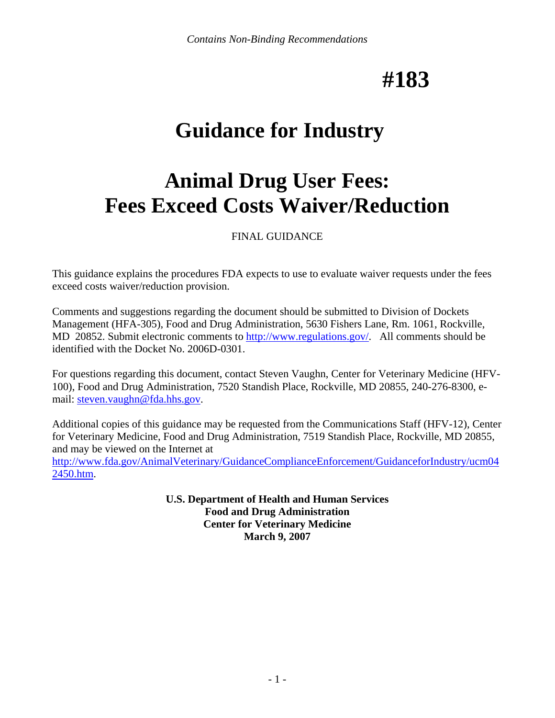# **#183**

# **Guidance for Industry**

# **Animal Drug User Fees: Fees Exceed Costs Waiver/Reduction**

FINAL GUIDANCE

This guidance explains the procedures FDA expects to use to evaluate waiver requests under the fees exceed costs waiver/reduction provision.

Comments and suggestions regarding the document should be submitted to Division of Dockets Management (HFA-305), Food and Drug Administration, 5630 Fishers Lane, Rm. 1061, Rockville, MD 20852. Submit electronic comments to [http://www.regulations.gov/.](http://www.regulations.gov/) All comments should be identified with the Docket No. 2006D-0301.

For questions regarding this document, contact Steven Vaughn, Center for Veterinary Medicine (HFV-100), Food and Drug Administration, 7520 Standish Place, Rockville, MD 20855, 240-276-8300, email: [steven.vaughn@fda.hhs.gov](mailto:steven.vaughn@fda.hhs.gov).

Additional copies of this guidance may be requested from the Communications Staff (HFV-12), Center for Veterinary Medicine, Food and Drug Administration, 7519 Standish Place, Rockville, MD 20855, and may be viewed on the Internet at [http://www.fda.gov/AnimalVeterinary/GuidanceComplianceEnforcement/GuidanceforIndustry/ucm04](http://www.fda.gov/AnimalVeterinary/GuidanceComplianceEnforcement/GuidanceforIndustry/ucm042450.htm) [2450.htm](http://www.fda.gov/AnimalVeterinary/GuidanceComplianceEnforcement/GuidanceforIndustry/ucm042450.htm).

> **U.S. Department of Health and Human Services Food and Drug Administration Center for Veterinary Medicine March 9, 2007**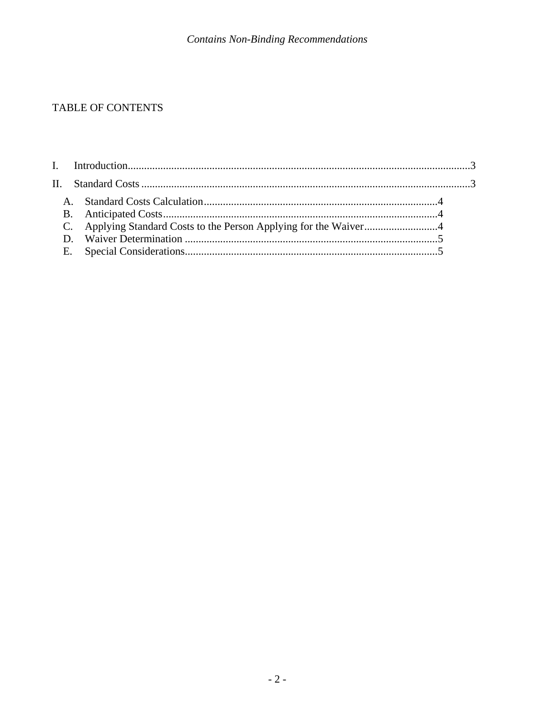# TABLE OF CONTENTS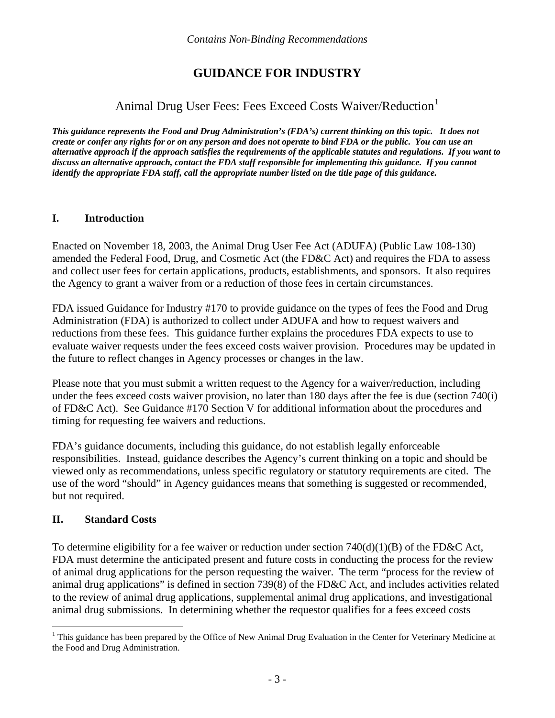# **GUIDANCE FOR INDUSTRY**

# Animal Drug User Fees: Fees Exceed Costs Waiver/Reduction<sup>[1](#page-2-1)</sup>

<span id="page-2-0"></span>*This guidance represents the Food and Drug Administration's (FDA's) current thinking on this topic. It does not create or confer any rights for or on any person and does not operate to bind FDA or the public. You can use an alternative approach if the approach satisfies the requirements of the applicable statutes and regulations. If you want to discuss an alternative approach, contact the FDA staff responsible for implementing this guidance. If you cannot identify the appropriate FDA staff, call the appropriate number listed on the title page of this guidance.* 

## **I. Introduction**

Enacted on November 18, 2003, the Animal Drug User Fee Act (ADUFA) (Public Law 108-130) amended the Federal Food, Drug, and Cosmetic Act (the FD&C Act) and requires the FDA to assess and collect user fees for certain applications, products, establishments, and sponsors. It also requires the Agency to grant a waiver from or a reduction of those fees in certain circumstances.

FDA issued Guidance for Industry #170 to provide guidance on the types of fees the Food and Drug Administration (FDA) is authorized to collect under ADUFA and how to request waivers and reductions from these fees. This guidance further explains the procedures FDA expects to use to evaluate waiver requests under the fees exceed costs waiver provision. Procedures may be updated in the future to reflect changes in Agency processes or changes in the law.

Please note that you must submit a written request to the Agency for a waiver/reduction, including under the fees exceed costs waiver provision, no later than 180 days after the fee is due (section 740(i) of FD&C Act). See Guidance #170 Section V for additional information about the procedures and timing for requesting fee waivers and reductions.

FDA's guidance documents, including this guidance, do not establish legally enforceable responsibilities. Instead, guidance describes the Agency's current thinking on a topic and should be viewed only as recommendations, unless specific regulatory or statutory requirements are cited. The use of the word "should" in Agency guidances means that something is suggested or recommended, but not required.

## **II. Standard Costs**

 $\overline{a}$ 

To determine eligibility for a fee waiver or reduction under section  $740(d)(1)(B)$  of the FD&C Act, FDA must determine the anticipated present and future costs in conducting the process for the review of animal drug applications for the person requesting the waiver. The term "process for the review of animal drug applications" is defined in section 739(8) of the FD&C Act, and includes activities related to the review of animal drug applications, supplemental animal drug applications, and investigational animal drug submissions. In determining whether the requestor qualifies for a fees exceed costs

<span id="page-2-1"></span><sup>&</sup>lt;sup>1</sup> This guidance has been prepared by the Office of New Animal Drug Evaluation in the Center for Veterinary Medicine at the Food and Drug Administration.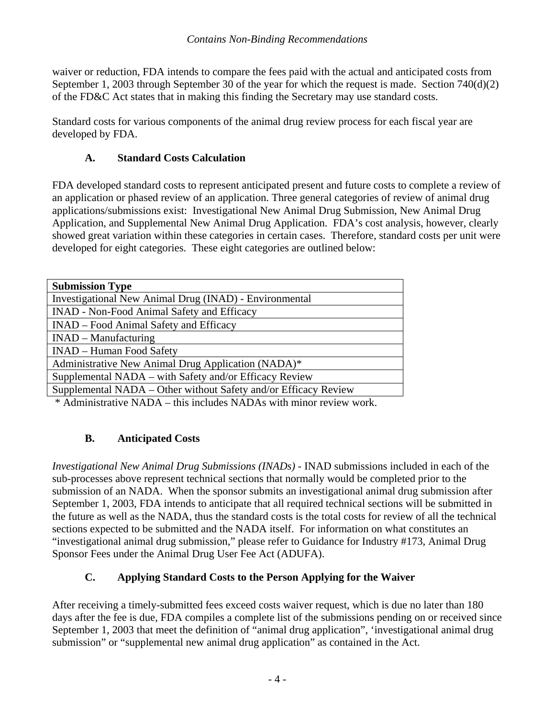<span id="page-3-0"></span>waiver or reduction, FDA intends to compare the fees paid with the actual and anticipated costs from September 1, 2003 through September 30 of the year for which the request is made. Section 740(d)(2) of the FD&C Act states that in making this finding the Secretary may use standard costs.

Standard costs for various components of the animal drug review process for each fiscal year are developed by FDA.

## **A. Standard Costs Calculation**

FDA developed standard costs to represent anticipated present and future costs to complete a review of an application or phased review of an application. Three general categories of review of animal drug applications/submissions exist: Investigational New Animal Drug Submission, New Animal Drug Application, and Supplemental New Animal Drug Application. FDA's cost analysis, however, clearly showed great variation within these categories in certain cases. Therefore, standard costs per unit were developed for eight categories. These eight categories are outlined below:

| <b>Submission Type</b>                                          |
|-----------------------------------------------------------------|
| Investigational New Animal Drug (INAD) - Environmental          |
| <b>INAD - Non-Food Animal Safety and Efficacy</b>               |
| INAD – Food Animal Safety and Efficacy                          |
| $INAD - Manufacturing$                                          |
| <b>INAD</b> – Human Food Safety                                 |
| Administrative New Animal Drug Application (NADA)*              |
| Supplemental NADA – with Safety and/or Efficacy Review          |
| Supplemental NADA - Other without Safety and/or Efficacy Review |
|                                                                 |

\* Administrative NADA – this includes NADAs with minor review work.

# **B. Anticipated Costs**

*Investigational New Animal Drug Submissions (INADs) -* INAD submissions included in each of the sub-processes above represent technical sections that normally would be completed prior to the submission of an NADA. When the sponsor submits an investigational animal drug submission after September 1, 2003, FDA intends to anticipate that all required technical sections will be submitted in the future as well as the NADA, thus the standard costs is the total costs for review of all the technical sections expected to be submitted and the NADA itself. For information on what constitutes an "investigational animal drug submission," please refer to Guidance for Industry #173, Animal Drug Sponsor Fees under the Animal Drug User Fee Act (ADUFA).

# **C. Applying Standard Costs to the Person Applying for the Waiver**

After receiving a timely-submitted fees exceed costs waiver request, which is due no later than 180 days after the fee is due, FDA compiles a complete list of the submissions pending on or received since September 1, 2003 that meet the definition of "animal drug application", 'investigational animal drug submission" or "supplemental new animal drug application" as contained in the Act.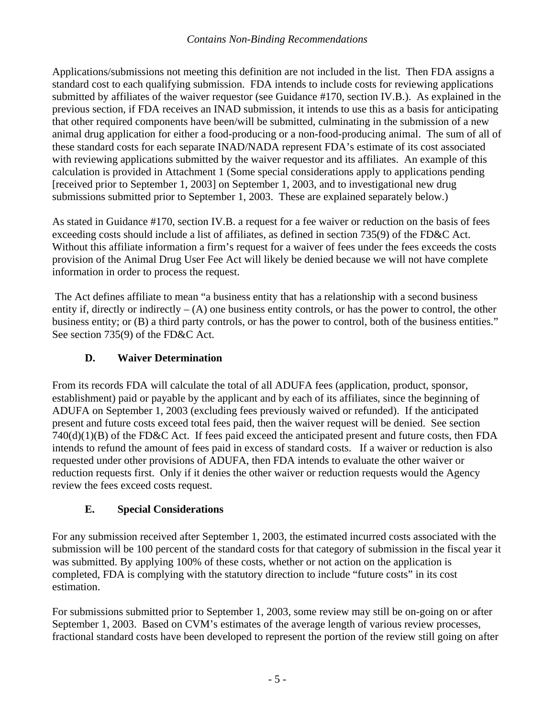<span id="page-4-0"></span>Applications/submissions not meeting this definition are not included in the list. Then FDA assigns a standard cost to each qualifying submission. FDA intends to include costs for reviewing applications submitted by affiliates of the waiver requestor (see Guidance #170, section IV.B.). As explained in the previous section, if FDA receives an INAD submission, it intends to use this as a basis for anticipating that other required components have been/will be submitted, culminating in the submission of a new animal drug application for either a food-producing or a non-food-producing animal. The sum of all of these standard costs for each separate INAD/NADA represent FDA's estimate of its cost associated with reviewing applications submitted by the waiver requestor and its affiliates. An example of this calculation is provided in Attachment 1 (Some special considerations apply to applications pending [received prior to September 1, 2003] on September 1, 2003, and to investigational new drug submissions submitted prior to September 1, 2003. These are explained separately below.)

As stated in Guidance #170, section IV.B. a request for a fee waiver or reduction on the basis of fees exceeding costs should include a list of affiliates, as defined in section 735(9) of the FD&C Act. Without this affiliate information a firm's request for a waiver of fees under the fees exceeds the costs provision of the Animal Drug User Fee Act will likely be denied because we will not have complete information in order to process the request.

 The Act defines affiliate to mean "a business entity that has a relationship with a second business entity if, directly or indirectly  $- (A)$  one business entity controls, or has the power to control, the other business entity; or (B) a third party controls, or has the power to control, both of the business entities." See section 735(9) of the FD&C Act.

## **D. Waiver Determination**

From its records FDA will calculate the total of all ADUFA fees (application, product, sponsor, establishment) paid or payable by the applicant and by each of its affiliates, since the beginning of ADUFA on September 1, 2003 (excluding fees previously waived or refunded). If the anticipated present and future costs exceed total fees paid, then the waiver request will be denied. See section 740(d)(1)(B) of the FD&C Act. If fees paid exceed the anticipated present and future costs, then FDA intends to refund the amount of fees paid in excess of standard costs. If a waiver or reduction is also requested under other provisions of ADUFA, then FDA intends to evaluate the other waiver or reduction requests first. Only if it denies the other waiver or reduction requests would the Agency review the fees exceed costs request.

## **E. Special Considerations**

For any submission received after September 1, 2003, the estimated incurred costs associated with the submission will be 100 percent of the standard costs for that category of submission in the fiscal year it was submitted. By applying 100% of these costs, whether or not action on the application is completed, FDA is complying with the statutory direction to include "future costs" in its cost estimation.

For submissions submitted prior to September 1, 2003, some review may still be on-going on or after September 1, 2003. Based on CVM's estimates of the average length of various review processes, fractional standard costs have been developed to represent the portion of the review still going on after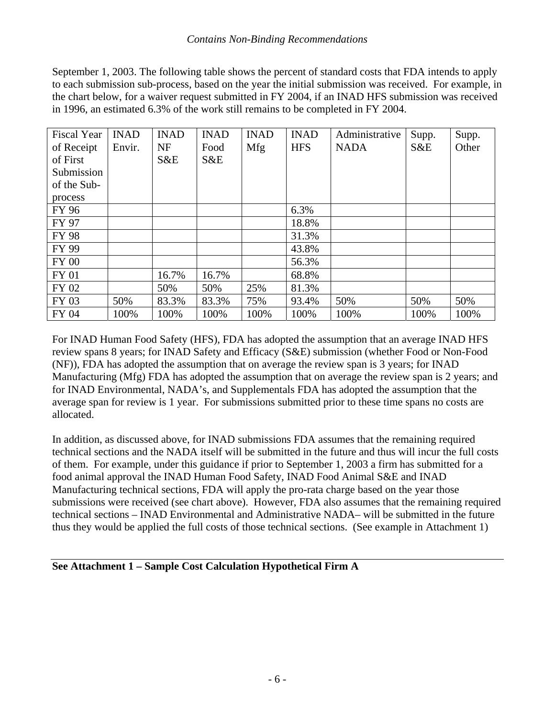September 1, 2003. The following table shows the percent of standard costs that FDA intends to apply to each submission sub-process, based on the year the initial submission was received. For example, in the chart below, for a waiver request submitted in FY 2004, if an INAD HFS submission was received in 1996, an estimated 6.3% of the work still remains to be completed in FY 2004.

| <b>Fiscal Year</b> | <b>INAD</b> | <b>INAD</b> | <b>INAD</b> | <b>INAD</b> | <b>INAD</b> | Administrative | Supp. | Supp. |
|--------------------|-------------|-------------|-------------|-------------|-------------|----------------|-------|-------|
| of Receipt         | Envir.      | <b>NF</b>   | Food        | Mfg         | <b>HFS</b>  | <b>NADA</b>    | S&E   | Other |
| of First           |             | S&E         | S&E         |             |             |                |       |       |
| Submission         |             |             |             |             |             |                |       |       |
| of the Sub-        |             |             |             |             |             |                |       |       |
| process            |             |             |             |             |             |                |       |       |
| FY 96              |             |             |             |             | 6.3%        |                |       |       |
| FY 97              |             |             |             |             | 18.8%       |                |       |       |
| <b>FY 98</b>       |             |             |             |             | 31.3%       |                |       |       |
| FY 99              |             |             |             |             | 43.8%       |                |       |       |
| <b>FY 00</b>       |             |             |             |             | 56.3%       |                |       |       |
| FY 01              |             | 16.7%       | 16.7%       |             | 68.8%       |                |       |       |
| FY 02              |             | 50%         | 50%         | 25%         | 81.3%       |                |       |       |
| FY 03              | 50%         | 83.3%       | 83.3%       | 75%         | 93.4%       | 50%            | 50%   | 50%   |
| FY 04              | 100%        | 100%        | 100%        | 100%        | 100%        | 100%           | 100%  | 100%  |

For INAD Human Food Safety (HFS), FDA has adopted the assumption that an average INAD HFS review spans 8 years; for INAD Safety and Efficacy (S&E) submission (whether Food or Non-Food (NF)), FDA has adopted the assumption that on average the review span is 3 years; for INAD Manufacturing (Mfg) FDA has adopted the assumption that on average the review span is 2 years; and for INAD Environmental, NADA's, and Supplementals FDA has adopted the assumption that the average span for review is 1 year. For submissions submitted prior to these time spans no costs are allocated.

In addition, as discussed above, for INAD submissions FDA assumes that the remaining required technical sections and the NADA itself will be submitted in the future and thus will incur the full costs of them. For example, under this guidance if prior to September 1, 2003 a firm has submitted for a food animal approval the INAD Human Food Safety, INAD Food Animal S&E and INAD Manufacturing technical sections, FDA will apply the pro-rata charge based on the year those submissions were received (see chart above). However, FDA also assumes that the remaining required technical sections – INAD Environmental and Administrative NADA– will be submitted in the future thus they would be applied the full costs of those technical sections. (See example in Attachment 1)

**See Attachment 1 – Sample Cost Calculation Hypothetical Firm A**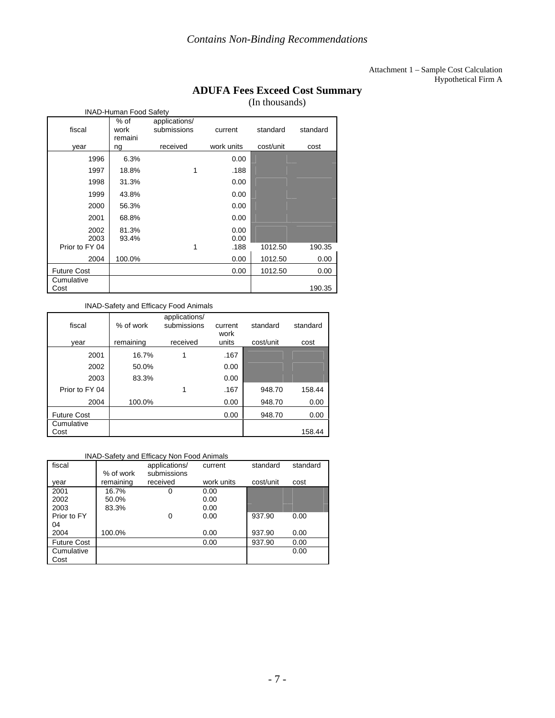#### Attachment 1 – Sample Cost Calculation Hypothetical Firm A

## **ADUFA Fees Exceed Cost Summary**

(In thousands)

| <b>INAD-Human Food Safety</b> | Tur unvusunus <i>(</i>  |                              |              |           |          |
|-------------------------------|-------------------------|------------------------------|--------------|-----------|----------|
| fiscal                        | % of<br>work<br>remaini | applications/<br>submissions | current      | standard  | standard |
| year                          | ng                      | received                     | work units   | cost/unit | cost     |
| 1996                          | 6.3%                    |                              | 0.00         |           |          |
| 1997                          | 18.8%                   |                              | .188         |           |          |
| 1998                          | 31.3%                   |                              | 0.00         |           |          |
| 1999                          | 43.8%                   |                              | 0.00         |           |          |
| 2000                          | 56.3%                   |                              | 0.00         |           |          |
| 2001                          | 68.8%                   |                              | 0.00         |           |          |
| 2002<br>2003                  | 81.3%<br>93.4%          |                              | 0.00<br>0.00 |           |          |
| Prior to FY 04                |                         |                              | .188         | 1012.50   | 190.35   |
| 2004                          | 100.0%                  |                              | 0.00         | 1012.50   | 0.00     |
| <b>Future Cost</b>            |                         |                              | 0.00         | 1012.50   | 0.00     |
| Cumulative<br>Cost            |                         |                              |              |           | 190.35   |

#### INAD-Safety and Efficacy Food Animals

| fiscal             | % of work | applications/<br>submissions | current<br>work | standard  | standard |
|--------------------|-----------|------------------------------|-----------------|-----------|----------|
| year               | remaining | received                     | units           | cost/unit | cost     |
| 2001               | 16.7%     |                              | .167            |           |          |
| 2002               | 50.0%     |                              | 0.00            |           |          |
| 2003               | 83.3%     |                              | 0.00            |           |          |
| Prior to FY 04     |           |                              | .167            | 948.70    | 158.44   |
| 2004               | 100.0%    |                              | 0.00            | 948.70    | 0.00     |
| <b>Future Cost</b> |           |                              | 0.00            | 948.70    | 0.00     |
| Cumulative<br>Cost |           |                              |                 |           | 158.44   |

#### INAD-Safety and Efficacy Non Food Animals

| fiscal      | % of work | applications/<br>submissions | current    | standard  | standard |
|-------------|-----------|------------------------------|------------|-----------|----------|
| vear        | remaining | received                     | work units | cost/unit | cost     |
| 2001        | 16.7%     | 0                            | 0.00       |           |          |
| 2002        | 50.0%     |                              | 0.00       |           |          |
| 2003        | 83.3%     |                              | 0.00       |           |          |
| Prior to FY |           | 0                            | 0.00       | 937.90    | 0.00     |
| 04          |           |                              |            |           |          |
| 2004        | 100.0%    |                              | 0.00       | 937.90    | 0.00     |
| Future Cost |           |                              | 0.00       | 937.90    | 0.00     |
| Cumulative  |           |                              |            |           | 0.00     |
| Cost        |           |                              |            |           |          |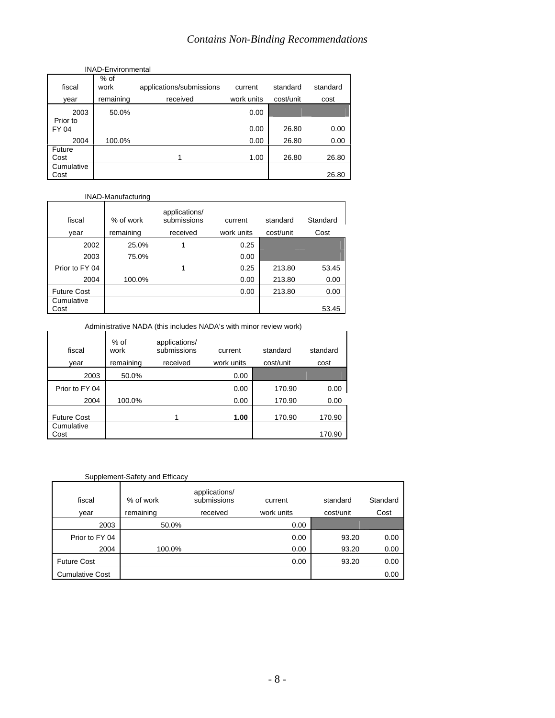|                    | <b>INAD-Environmental</b> |                          |            |           |          |  |  |  |
|--------------------|---------------------------|--------------------------|------------|-----------|----------|--|--|--|
| fiscal             | $%$ of<br>work            | applications/submissions | current    | standard  | standard |  |  |  |
| year               | remaining                 | received                 | work units | cost/unit | cost     |  |  |  |
| 2003               | 50.0%                     |                          | 0.00       |           |          |  |  |  |
| Prior to<br>FY 04  |                           |                          | 0.00       | 26.80     | 0.00     |  |  |  |
| 2004               | 100.0%                    |                          | 0.00       | 26.80     | 0.00     |  |  |  |
| Future             |                           |                          |            |           |          |  |  |  |
| Cost               |                           | 1                        | 1.00       | 26.80     | 26.80    |  |  |  |
| Cumulative<br>Cost |                           |                          |            |           | 26.80    |  |  |  |

#### INAD-Manufacturing

| fiscal             | % of work | applications/<br>submissions | current    | standard  | Standard |
|--------------------|-----------|------------------------------|------------|-----------|----------|
| year               | remaining | received                     | work units | cost/unit | Cost     |
| 2002               | 25.0%     |                              | 0.25       |           |          |
| 2003               | 75.0%     |                              | 0.00       |           |          |
| Prior to FY 04     |           | 1                            | 0.25       | 213.80    | 53.45    |
| 2004               | 100.0%    |                              | 0.00       | 213.80    | 0.00     |
| <b>Future Cost</b> |           |                              | 0.00       | 213.80    | 0.00     |
| Cumulative<br>Cost |           |                              |            |           | 53.45    |

Administrative NADA (this includes NADA's with minor review work)

| fiscal             | $%$ of<br>work | applications/<br>submissions | current    | standard  | standard |
|--------------------|----------------|------------------------------|------------|-----------|----------|
| year               | remaining      | received                     | work units | cost/unit | cost     |
| 2003               | 50.0%          |                              | 0.00       |           |          |
| Prior to FY 04     |                |                              | 0.00       | 170.90    | 0.00     |
| 2004               | 100.0%         |                              | 0.00       | 170.90    | 0.00     |
| <b>Future Cost</b> |                |                              | 1.00       | 170.90    | 170.90   |
| Cumulative<br>Cost |                |                              |            |           | 170.90   |

### Supplement-Safety and Efficacy

| fiscal<br>vear         | % of work<br>remaining | applications/<br>submissions<br>received | current<br>work units | standard<br>cost/unit | Standard<br>Cost |
|------------------------|------------------------|------------------------------------------|-----------------------|-----------------------|------------------|
| 2003                   | 50.0%                  |                                          | 0.00                  |                       |                  |
| Prior to FY 04         |                        |                                          | 0.00                  | 93.20                 | 0.00             |
| 2004                   | 100.0%                 |                                          | 0.00                  | 93.20                 | 0.00             |
| <b>Future Cost</b>     |                        |                                          | 0.00                  | 93.20                 | 0.00             |
| <b>Cumulative Cost</b> |                        |                                          |                       |                       | 0.00             |